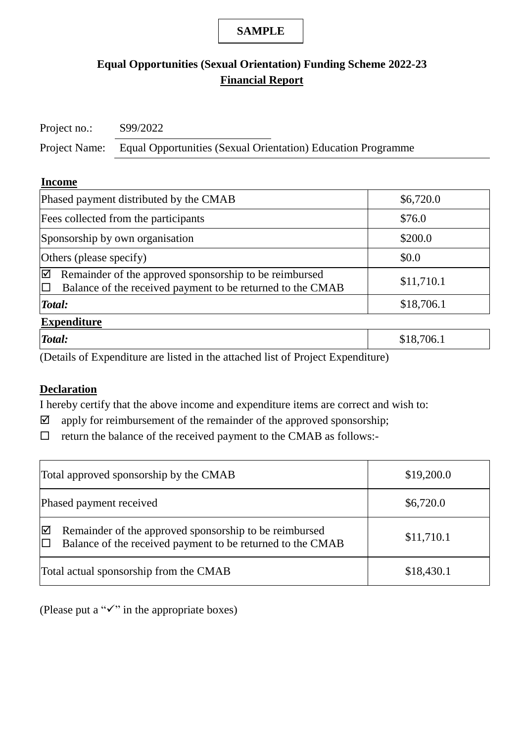# **Equal Opportunities (Sexual Orientation) Funding Scheme 2022-23 Financial Report**

Project no.: S99/2022

Project Name: Equal Opportunities (Sexual Orientation) Education Programme

#### **Income**

| Phased payment distributed by the CMAB                                                                                    | \$6,720.0  |  |  |  |  |  |
|---------------------------------------------------------------------------------------------------------------------------|------------|--|--|--|--|--|
| Fees collected from the participants                                                                                      | \$76.0     |  |  |  |  |  |
| Sponsorship by own organisation                                                                                           | \$200.0    |  |  |  |  |  |
| Others (please specify)                                                                                                   | \$0.0      |  |  |  |  |  |
| ☑<br>Remainder of the approved sponsorship to be reimbursed<br>Balance of the received payment to be returned to the CMAB | \$11,710.1 |  |  |  |  |  |
| Total:                                                                                                                    | \$18,706.1 |  |  |  |  |  |
| <b>Expenditure</b>                                                                                                        |            |  |  |  |  |  |

| Total: |               |                 |                                                                             | 706.1<br>$\overline{\phantom{a}}$<br>Ψ± Ψ |
|--------|---------------|-----------------|-----------------------------------------------------------------------------|-------------------------------------------|
| $\sim$ | $\sim$ $\sim$ | $\cdot$ $\cdot$ | $\sim$ $\sim$<br>$\rightarrow$<br>$\overline{\phantom{a}}$<br>$\sim$<br>. . |                                           |

(Details of Expenditure are listed in the attached list of Project Expenditure)

## **Declaration**

I hereby certify that the above income and expenditure items are correct and wish to:

- $\boxtimes$  apply for reimbursement of the remainder of the approved sponsorship;
- $\Box$ return the balance of the received payment to the CMAB as follows:-

| Total approved sponsorship by the CMAB                                                                                    | \$19,200.0 |
|---------------------------------------------------------------------------------------------------------------------------|------------|
| Phased payment received                                                                                                   | \$6,720.0  |
| Remainder of the approved sponsorship to be reimbursed<br>⊻<br>Balance of the received payment to be returned to the CMAB | \$11,710.1 |
| Total actual sponsorship from the CMAB                                                                                    | \$18,430.1 |

(Please put a " $\checkmark$ " in the appropriate boxes)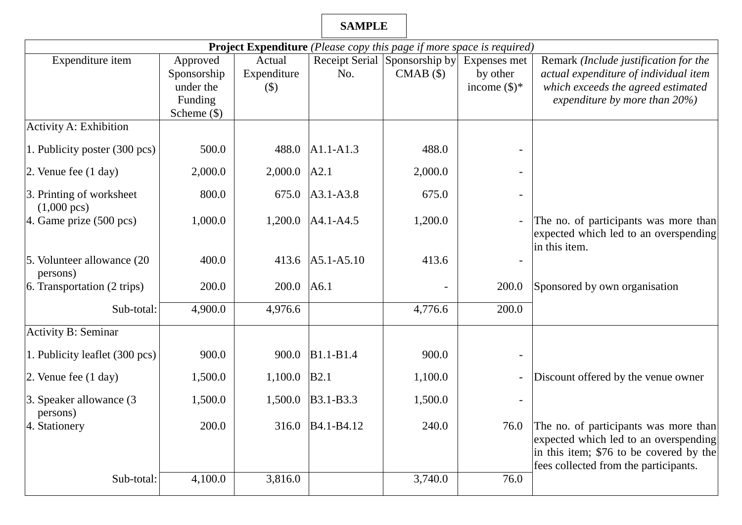| <b>Project Expenditure</b> (Please copy this page if more space is required) |               |                           |                                     |                               |                          |                                                                                  |  |  |  |
|------------------------------------------------------------------------------|---------------|---------------------------|-------------------------------------|-------------------------------|--------------------------|----------------------------------------------------------------------------------|--|--|--|
| Expenditure item                                                             | Approved      | Actual                    |                                     | Receipt Serial Sponsorship by | Expenses met             | Remark (Include justification for the                                            |  |  |  |
|                                                                              | Sponsorship   | Expenditure               | No.                                 | $CMAB$ $(\$)$                 | by other                 | actual expenditure of individual item                                            |  |  |  |
|                                                                              | under the     | $\left( \text{\$}\right)$ |                                     |                               | income $(\$)^*$          | which exceeds the agreed estimated                                               |  |  |  |
|                                                                              | Funding       |                           |                                     |                               |                          | expenditure by more than $20\%$ )                                                |  |  |  |
|                                                                              | Scheme $(\$)$ |                           |                                     |                               |                          |                                                                                  |  |  |  |
| Activity A: Exhibition                                                       |               |                           |                                     |                               |                          |                                                                                  |  |  |  |
| 1. Publicity poster (300 pcs)                                                | 500.0         | 488.0                     | $A1.1-A1.3$                         | 488.0                         |                          |                                                                                  |  |  |  |
| 2. Venue fee $(1 day)$                                                       | 2,000.0       | 2,000.0                   | A2.1                                | 2,000.0                       |                          |                                                                                  |  |  |  |
| 3. Printing of worksheet<br>$(1,000 \text{ pc})$                             | 800.0         | 675.0                     | $A3.1 - A3.8$                       | 675.0                         |                          |                                                                                  |  |  |  |
| 4. Game prize $(500 \text{ pc})$                                             | 1,000.0       | 1,200.0                   | $A4.1 - A4.5$                       | 1,200.0                       |                          | The no. of participants was more than<br>expected which led to an overspending   |  |  |  |
| 5. Volunteer allowance (20<br>persons)                                       | 400.0         | 413.6                     | $A5.1 - A5.10$                      | 413.6                         |                          | in this item.                                                                    |  |  |  |
| 6. Transportation (2 trips)                                                  | 200.0         | 200.0                     | A6.1                                |                               | 200.0                    | Sponsored by own organisation                                                    |  |  |  |
| Sub-total:                                                                   | 4,900.0       | 4,976.6                   |                                     | 4,776.6                       | 200.0                    |                                                                                  |  |  |  |
| <b>Activity B: Seminar</b>                                                   |               |                           |                                     |                               |                          |                                                                                  |  |  |  |
| 1. Publicity leaflet (300 pcs)                                               | 900.0         | 900.0                     | B1.1-B1.4                           | 900.0                         |                          |                                                                                  |  |  |  |
| 2. Venue fee $(1 \text{ day})$                                               | 1,500.0       | 1,100.0                   | <b>B2.1</b>                         | 1,100.0                       | $\overline{\phantom{0}}$ | Discount offered by the venue owner                                              |  |  |  |
| 3. Speaker allowance (3)<br>persons)                                         | 1,500.0       | 1,500.0                   | B3.1-B3.3                           | 1,500.0                       |                          |                                                                                  |  |  |  |
| 4. Stationery                                                                | 200.0         | 316.0                     | B <sub>4.1</sub> -B <sub>4.12</sub> | 240.0                         | 76.0                     | The no. of participants was more than<br>expected which led to an overspending   |  |  |  |
|                                                                              |               |                           |                                     |                               |                          | in this item; \$76 to be covered by the<br>fees collected from the participants. |  |  |  |
| Sub-total:                                                                   | 4,100.0       | 3,816.0                   |                                     | 3,740.0                       | 76.0                     |                                                                                  |  |  |  |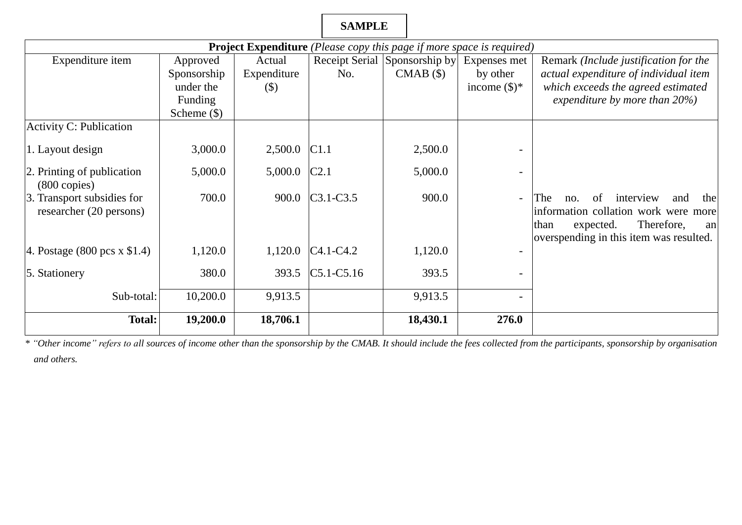| <b>Project Expenditure</b> (Please copy this page if more space is required) |               |             |                  |                               |                        |                                                                                                                                                                            |  |
|------------------------------------------------------------------------------|---------------|-------------|------------------|-------------------------------|------------------------|----------------------------------------------------------------------------------------------------------------------------------------------------------------------------|--|
| Expenditure item                                                             | Approved      | Actual      |                  | Receipt Serial Sponsorship by | Expenses met           | Remark (Include justification for the                                                                                                                                      |  |
|                                                                              | Sponsorship   | Expenditure | No.              | CMAB(\$)                      | by other               | actual expenditure of individual item                                                                                                                                      |  |
|                                                                              | under the     | (S)         |                  |                               | income $(\text{\$})^*$ | which exceeds the agreed estimated                                                                                                                                         |  |
|                                                                              | Funding       |             |                  |                               |                        | expenditure by more than $20\%$ )                                                                                                                                          |  |
|                                                                              | Scheme $(\$)$ |             |                  |                               |                        |                                                                                                                                                                            |  |
| <b>Activity C: Publication</b>                                               |               |             |                  |                               |                        |                                                                                                                                                                            |  |
| 1. Layout design                                                             | 3,000.0       | 2,500.0     | C1.1             | 2,500.0                       |                        |                                                                                                                                                                            |  |
| 2. Printing of publication<br>$(800 \text{ copies})$                         | 5,000.0       | 5,000.0     | C <sub>2.1</sub> | 5,000.0                       |                        |                                                                                                                                                                            |  |
| 3. Transport subsidies for<br>researcher (20 persons)                        | 700.0         | 900.0       | $C3.1-C3.5$      | 900.0                         | $\equiv$               | The<br>interview<br>and<br>the<br>οf<br>$nO$ .<br>information collation work were more<br>Therefore,<br>than<br>expected.<br>an<br>overspending in this item was resulted. |  |
| 4. Postage $(800 \text{ pcs} \times \$1.4)$                                  | 1,120.0       | 1,120.0     | $C4.1 - C4.2$    | 1,120.0                       |                        |                                                                                                                                                                            |  |
| 5. Stationery                                                                | 380.0         | 393.5       | $C5.1 - C5.16$   | 393.5                         |                        |                                                                                                                                                                            |  |
| Sub-total:                                                                   | 10,200.0      | 9,913.5     |                  | 9,913.5                       |                        |                                                                                                                                                                            |  |
| <b>Total:</b>                                                                | 19,200.0      | 18,706.1    |                  | 18,430.1                      | 276.0                  |                                                                                                                                                                            |  |

 *\* "Other income" refers to all sources of income other than the sponsorship by the CMAB. It should include the fees collected from the participants, sponsorship by organisation and others.*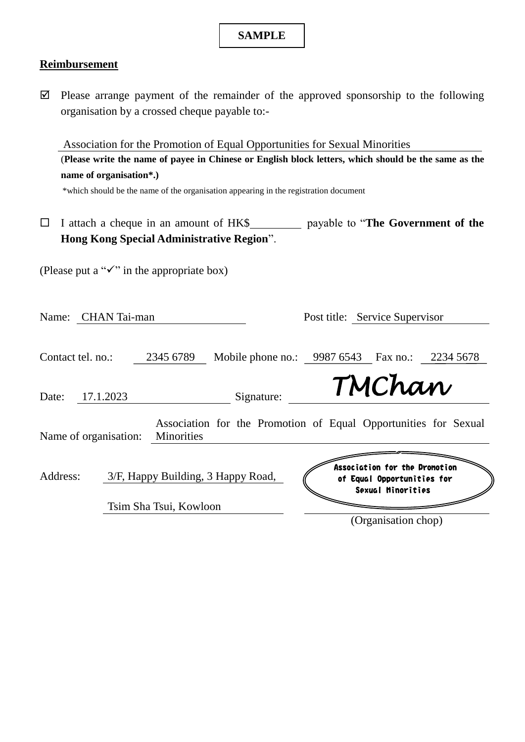### **Reimbursement**

 $\boxtimes$  Please arrange payment of the remainder of the approved sponsorship to the following organisation by a crossed cheque payable to:-

Association for the Promotion of Equal Opportunities for Sexual Minorities (**Please write the name of payee in Chinese or English block letters, which should be the same as the name of organisation\*.)** 

\*which should be the name of the organisation appearing in the registration document

□ I attach a cheque in an amount of HK\$\_\_\_\_\_\_\_\_\_\_ payable to "**The Government of the Hong Kong Special Administrative Region**".

(Please put a " $\checkmark$ " in the appropriate box)

| Name: CHAN Tai-man    |                                    |                                                                 | Post title: Service Supervisor                                                   |           |
|-----------------------|------------------------------------|-----------------------------------------------------------------|----------------------------------------------------------------------------------|-----------|
| Contact tel. no.:     | 2345 6789                          | Mobile phone no.:                                               | 9987 6543 Fax no.:                                                               | 2234 5678 |
| 17.1.2023<br>Date:    |                                    | Signature:                                                      | TMChan                                                                           |           |
| Name of organisation: | Minorities                         | Association for the Promotion of Equal Opportunities for Sexual |                                                                                  |           |
| Address:              | 3/F, Happy Building, 3 Happy Road, |                                                                 | Association for the Dromotion<br>of Equal Opportunities for<br>Sexual Minorities |           |
|                       | Tsim Sha Tsui, Kowloon             |                                                                 | (Organisation chop)                                                              |           |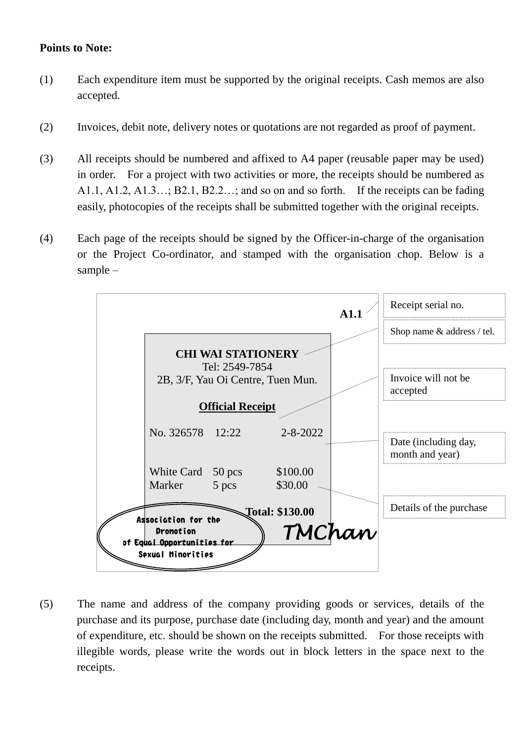### **Points to Note:**

- (1) Each expenditure item must be supported by the original receipts. Cash memos are also accepted.
- (2) Invoices, debit note, delivery notes or quotations are not regarded as proof of payment.
- (3) All receipts should be numbered and affixed to A4 paper (reusable paper may be used) A1.1, A1.2, A1.3…; B2.1, B2.2…; and so on and so forth. If the receipts can be fading in order. For a project with two activities or more, the receipts should be numbered as easily, photocopies of the receipts shall be submitted together with the original receipts.
- (4) Each page of the receipts should be signed by the Officer-in-charge of the organisation or the Project Co-ordinator, and stamped with the organisation chop. Below is a sample –



 of expenditure, etc. should be shown on the receipts submitted. For those receipts with illegible words, please write the words out in block letters in the space next to the (5) The name and address of the company providing goods or services, details of the purchase and its purpose, purchase date (including day, month and year) and the amount receipts.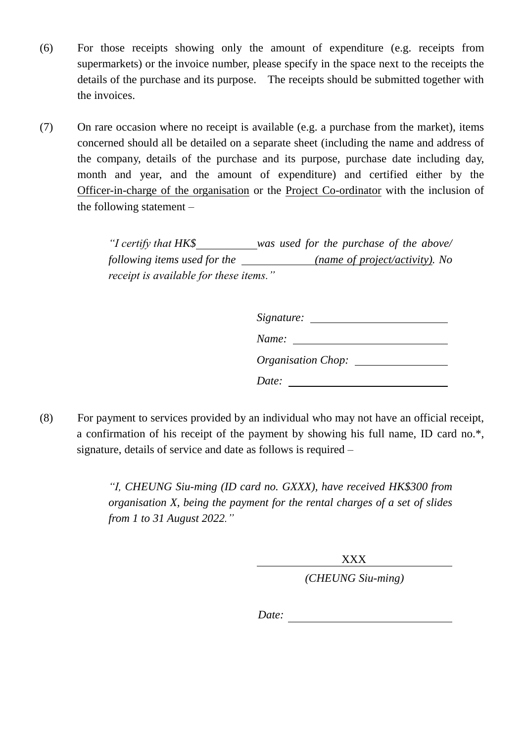- supermarkets) or the invoice number, please specify in the space next to the receipts the (6) For those receipts showing only the amount of expenditure (e.g. receipts from details of the purchase and its purpose. The receipts should be submitted together with the invoices.
- concerned should all be detailed on a separate sheet (including the name and address of (7) On rare occasion where no receipt is available (e.g. a purchase from the market), items the company, details of the purchase and its purpose, purchase date including day, month and year, and the amount of expenditure) and certified either by the Officer-in-charge of the organisation or the Project Co-ordinator with the inclusion of the following statement –

 *"I certify that HK\$ was used for the purchase of the above/ following items used for the (name of project/activity). No receipt is available for these items."*

| $Name: \_\_$              |  |
|---------------------------|--|
| <b>Organisation Chop:</b> |  |
| Date:                     |  |

 (8) For payment to services provided by an individual who may not have an official receipt, a confirmation of his receipt of the payment by showing his full name, ID card no.\*, signature, details of service and date as follows is required –

> *"I, CHEUNG Siu-ming (ID card no. GXXX), have received HK\$300 from organisation X, being the payment for the rental charges of a set of slides from 1 to 31 August 2022."*

> > XXX

*(CHEUNG Siu-ming)* 

*Date:*